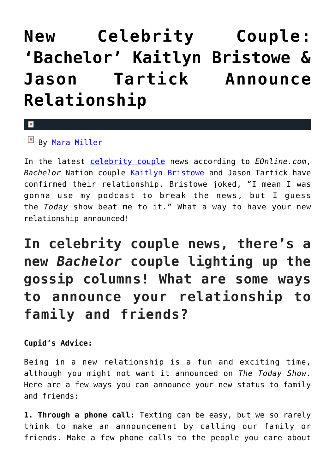## **[New Celebrity Couple:](https://cupidspulse.com/128555/celebrity-couple-bachelor-kaitlyn-bristowe-jason-tartick/) ['Bachelor' Kaitlyn Bristowe &](https://cupidspulse.com/128555/celebrity-couple-bachelor-kaitlyn-bristowe-jason-tartick/) [Jason Tartick Announce](https://cupidspulse.com/128555/celebrity-couple-bachelor-kaitlyn-bristowe-jason-tartick/) [Relationship](https://cupidspulse.com/128555/celebrity-couple-bachelor-kaitlyn-bristowe-jason-tartick/)**

## By [Mara Miller](http://cupidspulse.com/128278/mara-miller/)

 $\mathbf{x}$ 

In the latest [celebrity couple](http://cupidspulse.com/tag/celebrity-couples/) news according to *EOnline.com*, *Bachelor* Nation couple [Kaitlyn Bristowe](http://cupidspulse.com/92104/kaitlyn-bristowe/) and Jason Tartick have confirmed their relationship. Bristowe joked, "I mean I was gonna use my podcast to break the news, but I guess the *Today* show beat me to it." What a way to have your new relationship announced!

**In celebrity couple news, there's a new** *Bachelor* **couple lighting up the gossip columns! What are some ways to announce your relationship to family and friends?**

## **Cupid's Advice:**

Being in a new relationship is a fun and exciting time, although you might not want it announced on *The Today Show*. Here are a few ways you can announce your new status to family and friends:

**1. Through a phone call:** Texting can be easy, but we so rarely think to make an announcement by calling our family or friends. Make a few phone calls to the people you care about